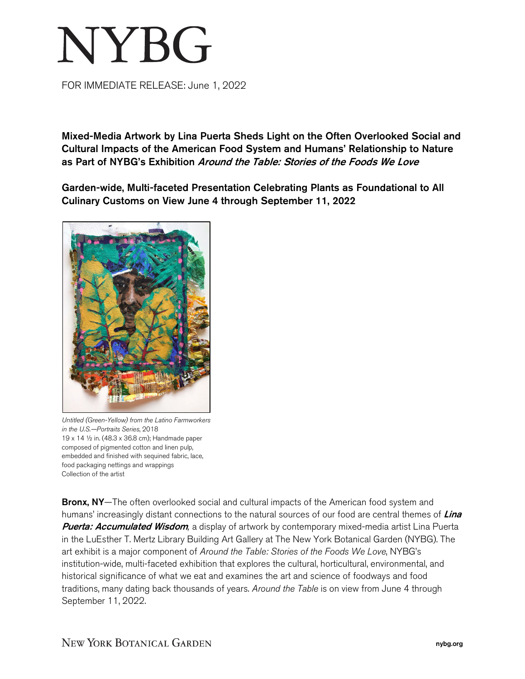## **NYBG**

FOR IMMEDIATE RELEASE: June 1, 2022

Mixed-Media Artwork by Lina Puerta Sheds Light on the Often Overlooked Social and Cultural Impacts of the American Food System and Humans' Relationship to Nature as Part of NYBG's Exhibition Around the Table: Stories of the Foods We Love

Garden-wide, Multi-faceted Presentation Celebrating Plants as Foundational to All Culinary Customs on View June 4 through September 11, 2022



*Untitled (Green-Yellow) from the Latino Farmworkers in the U.S.—Portraits Series*, 2018 19 x 14 ½ in. (48.3 x 36.8 cm); Handmade paper composed of pigmented cotton and linen pulp, embedded and finished with sequined fabric, lace, food packaging nettings and wrappings Collection of the artist

**Bronx, NY**—The often overlooked social and cultural impacts of the American food system and humans' increasingly distant connections to the natural sources of our food are central themes of Lina Puerta: Accumulated Wisdom*,* a display of artwork by contemporary mixed-media artist Lina Puerta in the LuEsther T. Mertz Library Building Art Gallery at The New York Botanical Garden (NYBG). The art exhibit is a major component of *Around the Table: Stories of the Foods We Love*, NYBG's institution-wide, multi-faceted exhibition that explores the cultural, horticultural, environmental, and historical significance of what we eat and examines the art and science of foodways and food traditions, many dating back thousands of years. *Around the Table* is on view from June 4 through September 11, 2022.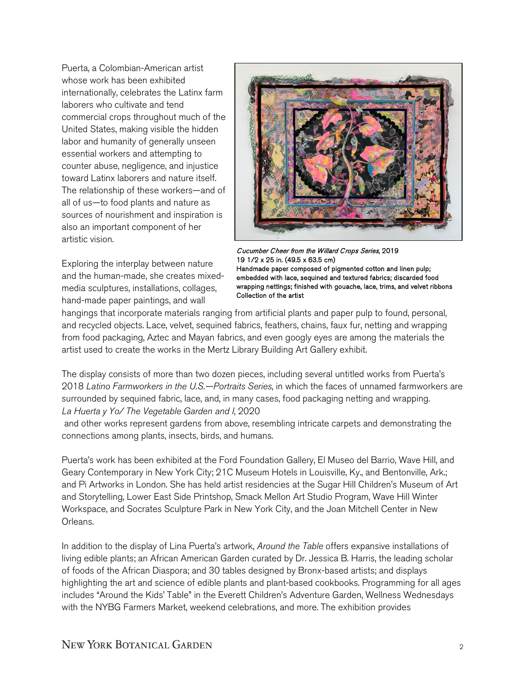Puerta, a Colombian-American artist whose work has been exhibited internationally, celebrates the Latinx farm laborers who cultivate and tend commercial crops throughout much of the United States, making visible the hidden labor and humanity of generally unseen essential workers and attempting to counter abuse, negligence, and injustice toward Latinx laborers and nature itself. The relationship of these workers—and of all of us—to food plants and nature as sources of nourishment and inspiration is also an important component of her artistic vision.

Exploring the interplay between nature and the human-made, she creates mixedmedia sculptures, installations, collages, hand-made paper paintings, and wall



Cucumber Cheer from the Willard Crops Series, 2019 19 1/2 x 25 in. (49.5 x 63.5 cm) Handmade paper composed of pigmented cotton and linen pulp; embedded with lace, sequined and textured fabrics; discarded food wrapping nettings; finished with gouache, lace, trims, and velvet ribbons Collection of the artist

hangings that incorporate materials ranging from artificial plants and paper pulp to found, personal, and recycled objects. Lace, velvet, sequined fabrics, feathers, chains, faux fur, netting and wrapping from food packaging, Aztec and Mayan fabrics, and even googly eyes are among the materials the artist used to create the works in the Mertz Library Building Art Gallery exhibit.

The display consists of more than two dozen pieces, including several untitled works from Puerta's 2018 *Latino Farmworkers in the U.S.—Portraits Series*, in which the faces of unnamed farmworkers are surrounded by sequined fabric, lace, and, in many cases, food packaging netting and wrapping. *La Huerta y Yo/ The Vegetable Garden and I*, 2020

and other works represent gardens from above, resembling intricate carpets and demonstrating the connections among plants, insects, birds, and humans.

Puerta's work has been exhibited at the Ford Foundation Gallery, El Museo del Barrio, Wave Hill, and Geary Contemporary in New York City; 21C Museum Hotels in Louisville, Ky., and Bentonville, Ark.; and Pi Artworks in London. She has held artist residencies at the Sugar Hill Children's Museum of Art and Storytelling, Lower East Side Printshop, Smack Mellon Art Studio Program, Wave Hill Winter Workspace, and Socrates Sculpture Park in New York City, and the Joan Mitchell Center in New Orleans.

In addition to the display of Lina Puerta's artwork, *Around the Table* offers expansive installations of living edible plants; an African American Garden curated by Dr. Jessica B. Harris, the leading scholar of foods of the African Diaspora; and 30 tables designed by Bronx-based artists; and displays highlighting the art and science of edible plants and plant-based cookbooks. Programming for all ages includes "Around the Kids' Table" in the Everett Children's Adventure Garden, Wellness Wednesdays with the NYBG Farmers Market, weekend celebrations, and more. The exhibition provides